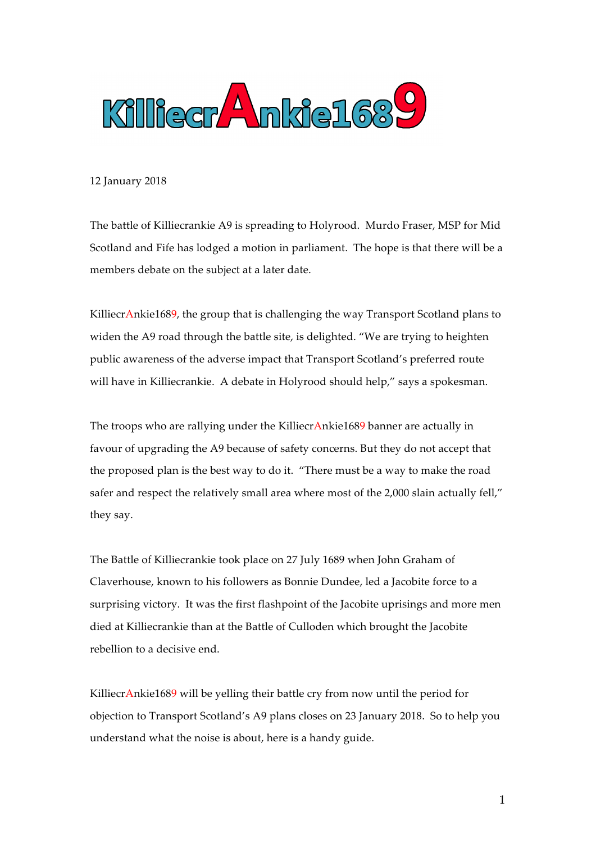

12 January 2018

The battle of Killiecrankie A9 is spreading to Holyrood. Murdo Fraser, MSP for Mid Scotland and Fife has lodged a motion in parliament. The hope is that there will be a members debate on the subject at a later date.

KilliecrAnkie1689, the group that is challenging the way Transport Scotland plans to widen the A9 road through the battle site, is delighted. "We are trying to heighten public awareness of the adverse impact that Transport Scotland's preferred route will have in Killiecrankie. A debate in Holyrood should help," says a spokesman.

The troops who are rallying under the KilliecrAnkie1689 banner are actually in favour of upgrading the A9 because of safety concerns. But they do not accept that the proposed plan is the best way to do it. "There must be a way to make the road safer and respect the relatively small area where most of the 2,000 slain actually fell," they say.

The Battle of Killiecrankie took place on 27 July 1689 when John Graham of Claverhouse, known to his followers as Bonnie Dundee, led a Jacobite force to a surprising victory. It was the first flashpoint of the Jacobite uprisings and more men died at Killiecrankie than at the Battle of Culloden which brought the Jacobite rebellion to a decisive end.

KilliecrAnkie1689 will be yelling their battle cry from now until the period for objection to Transport Scotland's A9 plans closes on 23 January 2018. So to help you understand what the noise is about, here is a handy guide.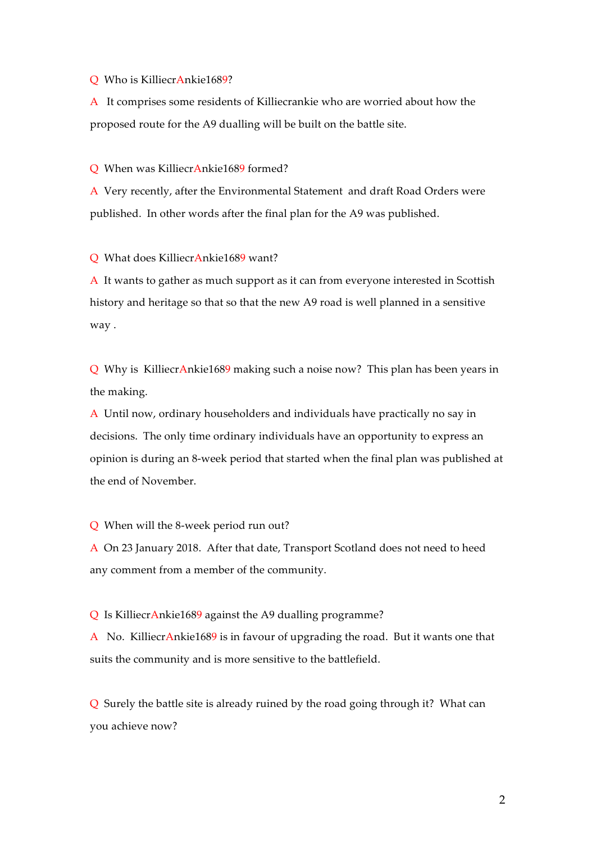## Q Who is KilliecrAnkie1689?

A It comprises some residents of Killiecrankie who are worried about how the proposed route for the A9 dualling will be built on the battle site.

## Q When was KilliecrAnkie1689 formed?

A Very recently, after the Environmental Statement and draft Road Orders were published. In other words after the final plan for the A9 was published.

Q What does KilliecrAnkie1689 want?

A It wants to gather as much support as it can from everyone interested in Scottish history and heritage so that so that the new A9 road is well planned in a sensitive way .

Q Why is KilliecrAnkie1689 making such a noise now? This plan has been years in the making.

A Until now, ordinary householders and individuals have practically no say in decisions. The only time ordinary individuals have an opportunity to express an opinion is during an 8-week period that started when the final plan was published at the end of November.

Q When will the 8-week period run out?

A On 23 January 2018. After that date, Transport Scotland does not need to heed any comment from a member of the community.

Q Is KilliecrAnkie1689 against the A9 dualling programme?

A No. KilliecrAnkie1689 is in favour of upgrading the road. But it wants one that suits the community and is more sensitive to the battlefield.

Q Surely the battle site is already ruined by the road going through it? What can you achieve now?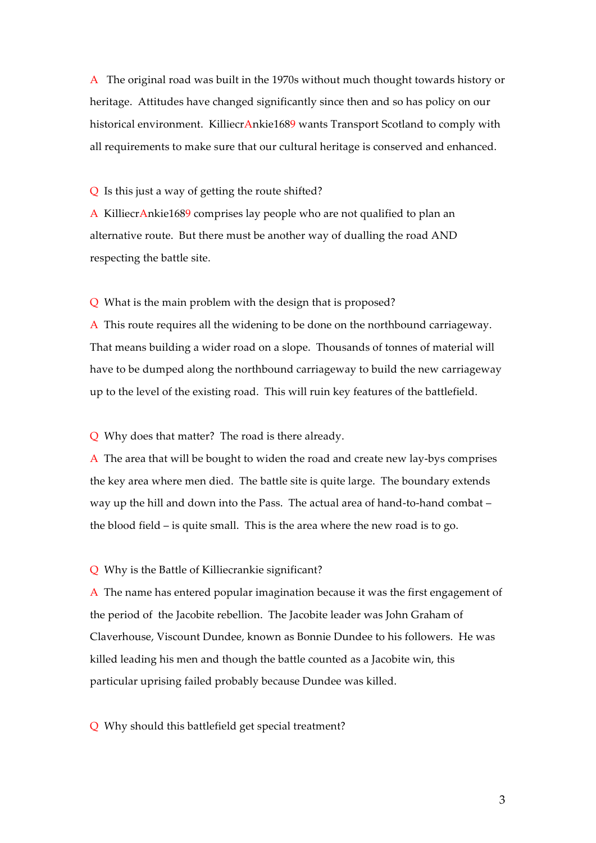A The original road was built in the 1970s without much thought towards history or heritage. Attitudes have changed significantly since then and so has policy on our historical environment. KilliecrAnkie1689 wants Transport Scotland to comply with all requirements to make sure that our cultural heritage is conserved and enhanced.

Q Is this just a way of getting the route shifted?

A KilliecrAnkie1689 comprises lay people who are not qualified to plan an alternative route. But there must be another way of dualling the road AND respecting the battle site.

Q What is the main problem with the design that is proposed?

A This route requires all the widening to be done on the northbound carriageway. That means building a wider road on a slope. Thousands of tonnes of material will have to be dumped along the northbound carriageway to build the new carriageway up to the level of the existing road. This will ruin key features of the battlefield.

Q Why does that matter? The road is there already.

A The area that will be bought to widen the road and create new lay-bys comprises the key area where men died. The battle site is quite large. The boundary extends way up the hill and down into the Pass. The actual area of hand-to-hand combat – the blood field – is quite small. This is the area where the new road is to go.

Q Why is the Battle of Killiecrankie significant?

A The name has entered popular imagination because it was the first engagement of the period of the Jacobite rebellion. The Jacobite leader was John Graham of Claverhouse, Viscount Dundee, known as Bonnie Dundee to his followers. He was killed leading his men and though the battle counted as a Jacobite win, this particular uprising failed probably because Dundee was killed.

Q Why should this battlefield get special treatment?

3